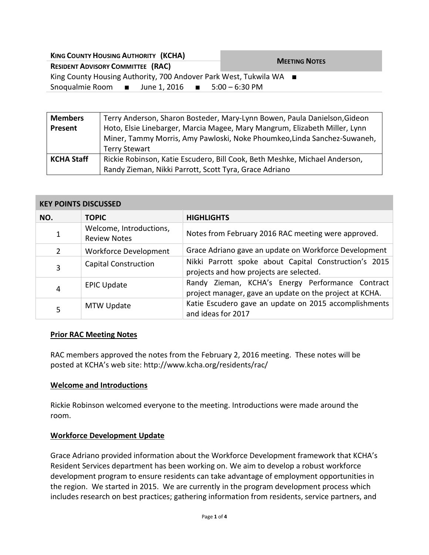| <b>KING COUNTY HOUSING AUTHORITY (KCHA)</b>                               | <b>MEETING NOTES</b> |  |  |
|---------------------------------------------------------------------------|----------------------|--|--|
| <b>RESIDENT ADVISORY COMMITTEE (RAC)</b>                                  |                      |  |  |
| King County Housing Authority, 700 Andover Park West, Tukwila WA ■        |                      |  |  |
| Snoqualmie Room $\blacksquare$ June 1, 2016 $\blacksquare$ 5:00 - 6:30 PM |                      |  |  |

| <b>Members</b>    | Terry Anderson, Sharon Bosteder, Mary-Lynn Bowen, Paula Danielson, Gideon  |  |
|-------------------|----------------------------------------------------------------------------|--|
| Present           | Hoto, Elsie Linebarger, Marcia Magee, Mary Mangrum, Elizabeth Miller, Lynn |  |
|                   | Miner, Tammy Morris, Amy Pawloski, Noke Phoumkeo, Linda Sanchez-Suwaneh,   |  |
|                   | <b>Terry Stewart</b>                                                       |  |
| <b>KCHA Staff</b> | Rickie Robinson, Katie Escudero, Bill Cook, Beth Meshke, Michael Anderson, |  |
|                   | Randy Zieman, Nikki Parrott, Scott Tyra, Grace Adriano                     |  |

### **KEY POINTS DISCUSSED**

| NO. | <b>TOPIC</b>                                   | <b>HIGHLIGHTS</b>                                                                                           |
|-----|------------------------------------------------|-------------------------------------------------------------------------------------------------------------|
| 1   | Welcome, Introductions,<br><b>Review Notes</b> | Notes from February 2016 RAC meeting were approved.                                                         |
| 2   | <b>Workforce Development</b>                   | Grace Adriano gave an update on Workforce Development                                                       |
| 3   | <b>Capital Construction</b>                    | Nikki Parrott spoke about Capital Construction's 2015<br>projects and how projects are selected.            |
| 4   | <b>EPIC Update</b>                             | Randy Zieman, KCHA's Energy Performance Contract<br>project manager, gave an update on the project at KCHA. |
| 5   | MTW Update                                     | Katie Escudero gave an update on 2015 accomplishments<br>and ideas for 2017                                 |

### **Prior RAC Meeting Notes**

RAC members approved the notes from the February 2, 2016 meeting. These notes will be posted at KCHA's web site: http://www.kcha.org/residents/rac/

#### **Welcome and Introductions**

Rickie Robinson welcomed everyone to the meeting. Introductions were made around the room.

### **Workforce Development Update**

Grace Adriano provided information about the Workforce Development framework that KCHA's Resident Services department has been working on. We aim to develop a robust workforce development program to ensure residents can take advantage of employment opportunities in the region. We started in 2015. We are currently in the program development process which includes research on best practices; gathering information from residents, service partners, and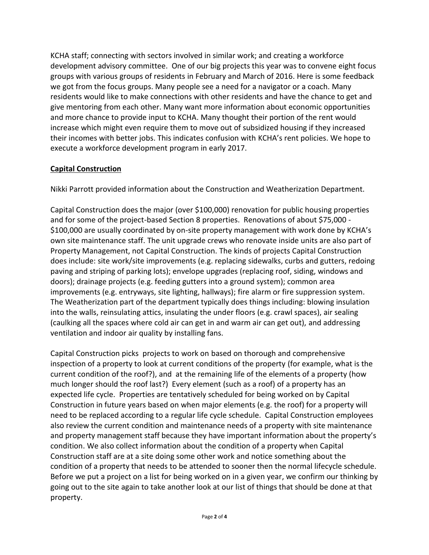KCHA staff; connecting with sectors involved in similar work; and creating a workforce development advisory committee. One of our big projects this year was to convene eight focus groups with various groups of residents in February and March of 2016. Here is some feedback we got from the focus groups. Many people see a need for a navigator or a coach. Many residents would like to make connections with other residents and have the chance to get and give mentoring from each other. Many want more information about economic opportunities and more chance to provide input to KCHA. Many thought their portion of the rent would increase which might even require them to move out of subsidized housing if they increased their incomes with better jobs. This indicates confusion with KCHA's rent policies. We hope to execute a workforce development program in early 2017.

# **Capital Construction**

Nikki Parrott provided information about the Construction and Weatherization Department.

Capital Construction does the major (over \$100,000) renovation for public housing properties and for some of the project-based Section 8 properties. Renovations of about \$75,000 - \$100,000 are usually coordinated by on-site property management with work done by KCHA's own site maintenance staff. The unit upgrade crews who renovate inside units are also part of Property Management, not Capital Construction. The kinds of projects Capital Construction does include: site work/site improvements (e.g. replacing sidewalks, curbs and gutters, redoing paving and striping of parking lots); envelope upgrades (replacing roof, siding, windows and doors); drainage projects (e.g. feeding gutters into a ground system); common area improvements (e.g. entryways, site lighting, hallways); fire alarm or fire suppression system. The Weatherization part of the department typically does things including: blowing insulation into the walls, reinsulating attics, insulating the under floors (e.g. crawl spaces), air sealing (caulking all the spaces where cold air can get in and warm air can get out), and addressing ventilation and indoor air quality by installing fans.

Capital Construction picks projects to work on based on thorough and comprehensive inspection of a property to look at current conditions of the property (for example, what is the current condition of the roof?), and at the remaining life of the elements of a property (how much longer should the roof last?) Every element (such as a roof) of a property has an expected life cycle. Properties are tentatively scheduled for being worked on by Capital Construction in future years based on when major elements (e.g. the roof) for a property will need to be replaced according to a regular life cycle schedule. Capital Construction employees also review the current condition and maintenance needs of a property with site maintenance and property management staff because they have important information about the property's condition. We also collect information about the condition of a property when Capital Construction staff are at a site doing some other work and notice something about the condition of a property that needs to be attended to sooner then the normal lifecycle schedule. Before we put a project on a list for being worked on in a given year, we confirm our thinking by going out to the site again to take another look at our list of things that should be done at that property.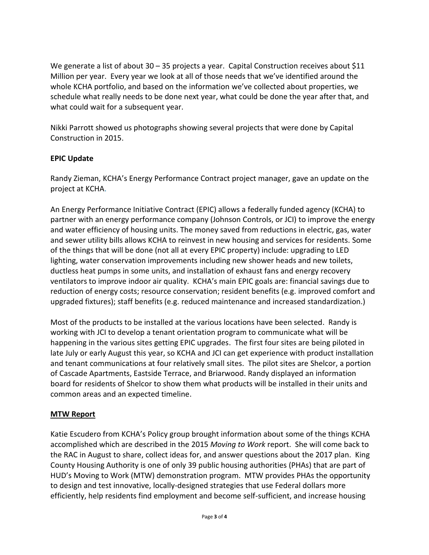We generate a list of about 30 – 35 projects a year. Capital Construction receives about \$11 Million per year. Every year we look at all of those needs that we've identified around the whole KCHA portfolio, and based on the information we've collected about properties, we schedule what really needs to be done next year, what could be done the year after that, and what could wait for a subsequent year.

Nikki Parrott showed us photographs showing several projects that were done by Capital Construction in 2015.

# **EPIC Update**

Randy Zieman, KCHA's Energy Performance Contract project manager, gave an update on the project at KCHA.

An Energy Performance Initiative Contract (EPIC) allows a federally funded agency (KCHA) to partner with an energy performance company (Johnson Controls, or JCI) to improve the energy and water efficiency of housing units. The money saved from reductions in electric, gas, water and sewer utility bills allows KCHA to reinvest in new housing and services for residents. Some of the things that will be done (not all at every EPIC property) include: upgrading to LED lighting, water conservation improvements including new shower heads and new toilets, ductless heat pumps in some units, and installation of exhaust fans and energy recovery ventilators to improve indoor air quality. KCHA's main EPIC goals are: financial savings due to reduction of energy costs; resource conservation; resident benefits (e.g. improved comfort and upgraded fixtures); staff benefits (e.g. reduced maintenance and increased standardization.)

Most of the products to be installed at the various locations have been selected. Randy is working with JCI to develop a tenant orientation program to communicate what will be happening in the various sites getting EPIC upgrades. The first four sites are being piloted in late July or early August this year, so KCHA and JCI can get experience with product installation and tenant communications at four relatively small sites. The pilot sites are Shelcor, a portion of Cascade Apartments, Eastside Terrace, and Briarwood. Randy displayed an information board for residents of Shelcor to show them what products will be installed in their units and common areas and an expected timeline.

# **MTW Report**

Katie Escudero from KCHA's Policy group brought information about some of the things KCHA accomplished which are described in the 2015 *Moving to Work* report. She will come back to the RAC in August to share, collect ideas for, and answer questions about the 2017 plan. King County Housing Authority is one of only 39 public housing authorities (PHAs) that are part of HUD's Moving to Work (MTW) demonstration program. MTW provides PHAs the opportunity to design and test innovative, locally-designed strategies that use Federal dollars more efficiently, help residents find employment and become self-sufficient, and increase housing